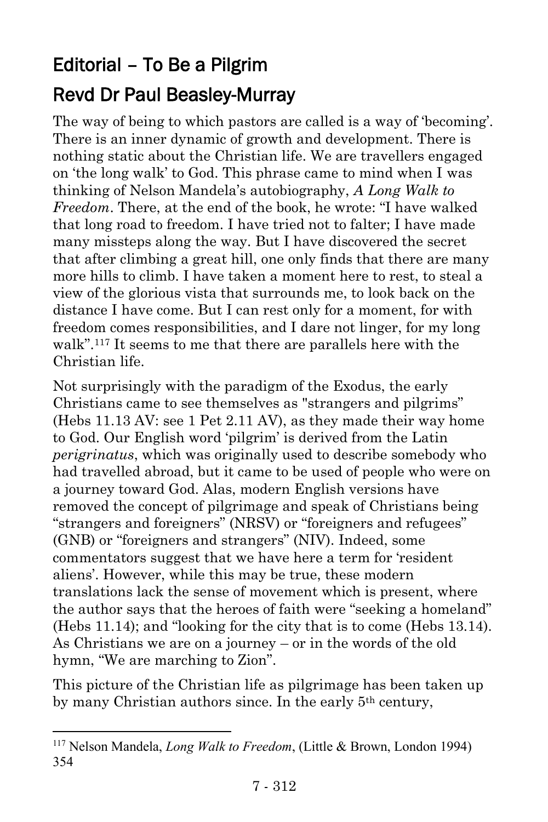## Editorial – To Be a Pilgrim Revd Dr Paul Beasley-Murray

The way of being to which pastors are called is a way of 'becoming'. There is an inner dynamic of growth and development. There is nothing static about the Christian life. We are travellers engaged on 'the long walk' to God. This phrase came to mind when I was thinking of Nelson Mandela's autobiography, *A Long Walk to Freedom*. There, at the end of the book, he wrote: "I have walked that long road to freedom. I have tried not to falter; I have made many missteps along the way. But I have discovered the secret that after climbing a great hill, one only finds that there are many more hills to climb. I have taken a moment here to rest, to steal a view of the glorious vista that surrounds me, to look back on the distance I have come. But I can rest only for a moment, for with freedom comes responsibilities, and I dare not linger, for my long walk".<sup>117</sup> It seems to me that there are parallels here with the Christian life.

Not surprisingly with the paradigm of the Exodus, the early Christians came to see themselves as "strangers and pilgrims" (Hebs 11.13 AV: see 1 Pet 2.11 AV), as they made their way home to God. Our English word 'pilgrim' is derived from the Latin *perigrinatus*, which was originally used to describe somebody who had travelled abroad, but it came to be used of people who were on a journey toward God. Alas, modern English versions have removed the concept of pilgrimage and speak of Christians being "strangers and foreigners" (NRSV) or "foreigners and refugees" (GNB) or "foreigners and strangers" (NIV). Indeed, some commentators suggest that we have here a term for 'resident aliens'. However, while this may be true, these modern translations lack the sense of movement which is present, where the author says that the heroes of faith were "seeking a homeland" (Hebs 11.14); and "looking for the city that is to come (Hebs 13.14). As Christians we are on a journey – or in the words of the old hymn, "We are marching to Zion".

This picture of the Christian life as pilgrimage has been taken up by many Christian authors since. In the early 5th century,

l

<sup>117</sup> Nelson Mandela, *Long Walk to Freedom*, (Little & Brown, London 1994) 354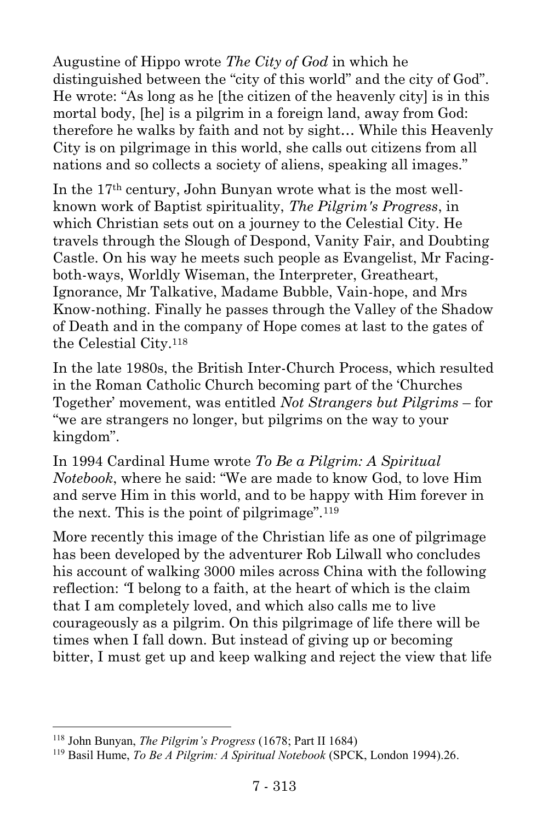Augustine of Hippo wrote *The City of God* in which he distinguished between the "city of this world" and the city of God". He wrote: "As long as he [the citizen of the heavenly city] is in this mortal body, [he] is a pilgrim in a foreign land, away from God: therefore he walks by faith and not by sight… While this Heavenly City is on pilgrimage in this world, she calls out citizens from all nations and so collects a society of aliens, speaking all images."

In the 17th century, John Bunyan wrote what is the most wellknown work of Baptist spirituality, *The Pilgrim's Progress*, in which Christian sets out on a journey to the Celestial City. He travels through the Slough of Despond, Vanity Fair, and Doubting Castle. On his way he meets such people as Evangelist, Mr Facingboth-ways, Worldly Wiseman, the Interpreter, Greatheart, Ignorance, Mr Talkative, Madame Bubble, Vain-hope, and Mrs Know-nothing. Finally he passes through the Valley of the Shadow of Death and in the company of Hope comes at last to the gates of the Celestial City.<sup>118</sup>

In the late 1980s, the British Inter-Church Process, which resulted in the Roman Catholic Church becoming part of the 'Churches Together' movement, was entitled *Not Strangers but Pilgrims* – for "we are strangers no longer, but pilgrims on the way to your kingdom".

In 1994 Cardinal Hume wrote *To Be a Pilgrim: A Spiritual Notebook*, where he said: "We are made to know God, to love Him and serve Him in this world, and to be happy with Him forever in the next. This is the point of pilgrimage"*.* 119

More recently this image of the Christian life as one of pilgrimage has been developed by the adventurer Rob Lilwall who concludes his account of walking 3000 miles across China with the following reflection: *"*I belong to a faith, at the heart of which is the claim that I am completely loved, and which also calls me to live courageously as a pilgrim. On this pilgrimage of life there will be times when I fall down. But instead of giving up or becoming bitter, I must get up and keep walking and reject the view that life

l

<sup>118</sup> John Bunyan, *The Pilgrim's Progress* (1678; Part II 1684)

<sup>119</sup> Basil Hume, *To Be A Pilgrim: A Spiritual Notebook* (SPCK, London 1994).26.